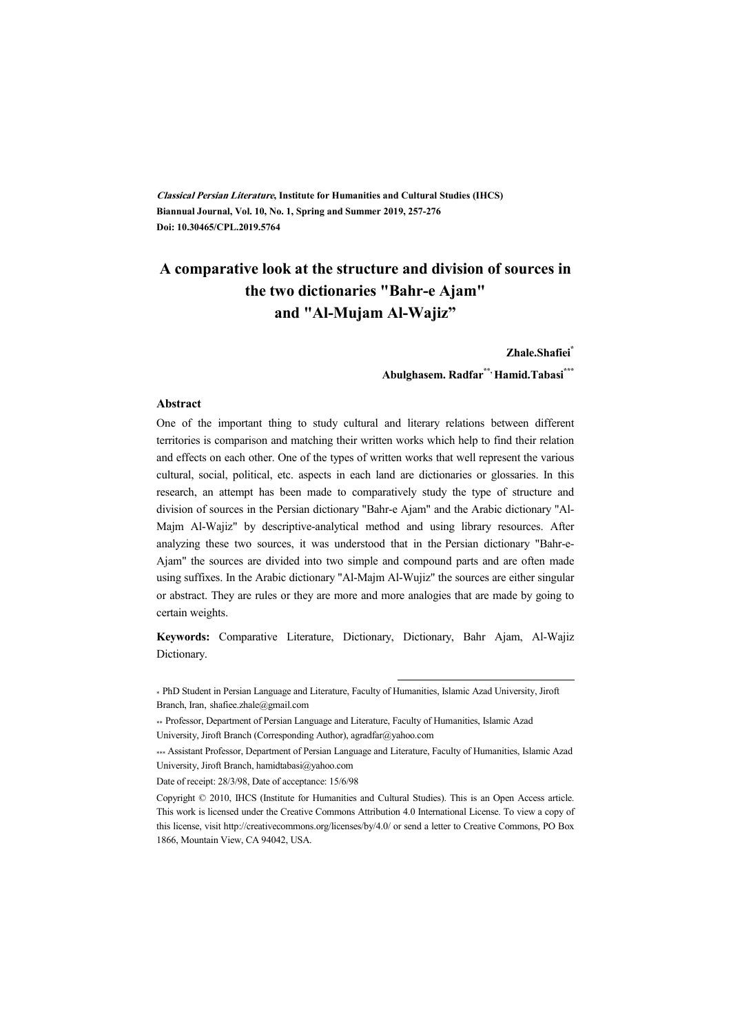**Classical Persian Literature, Institute for Humanities and Cultural Studies (IHCS) Biannual Journal, Vol. 10, No. 1, Spring and Summer 2019, 257-276 Doi: 10.30465/CPL.2019.5764** 

# **A comparative look at the structure and division of sources in the two dictionaries "Bahr-e Ajam" and "Al-Mujam Al-Wajiz"**

**Zhale.Shafiei\***

**Abulghasem. Radfar\*\*, Hamid.Tabasi\*\*\***

#### **Abstract**

One of the important thing to study cultural and literary relations between different territories is comparison and matching their written works which help to find their relation and effects on each other. One of the types of written works that well represent the various cultural, social, political, etc. aspects in each land are dictionaries or glossaries. In this research, an attempt has been made to comparatively study the type of structure and division of sources in the Persian dictionary "Bahr-e Ajam" and the Arabic dictionary "Al-Majm Al-Wajiz" by descriptive-analytical method and using library resources. After analyzing these two sources, it was understood that in the Persian dictionary "Bahr-e-Ajam" the sources are divided into two simple and compound parts and are often made using suffixes. In the Arabic dictionary "Al-Majm Al-Wujiz" the sources are either singular or abstract. They are rules or they are more and more analogies that are made by going to certain weights.

**Keywords:** Comparative Literature, Dictionary, Dictionary, Bahr Ajam, Al-Wajiz Dictionary.

:

\* PhD Student in Persian Language and Literature, Faculty of Humanities, Islamic Azad University, Jiroft Branch, Iran, shafiee.zhale@gmail.com

Date of receipt: 28/3/98, Date of acceptance: 15/6/98

<sup>\*\*</sup> Professor, Department of Persian Language and Literature, Faculty of Humanities, Islamic Azad University, Jiroft Branch (Corresponding Author), agradfar@yahoo.com

<sup>\*\*\*</sup> Assistant Professor, Department of Persian Language and Literature, Faculty of Humanities, Islamic Azad University, Jiroft Branch, hamidtabasi@yahoo.com

Copyright © 2010, IHCS (Institute for Humanities and Cultural Studies). This is an Open Access article. This work is licensed under the Creative Commons Attribution 4.0 International License. To view a copy of this license, visit http://creativecommons.org/licenses/by/4.0/ or send a letter to Creative Commons, PO Box 1866, Mountain View, CA 94042, USA.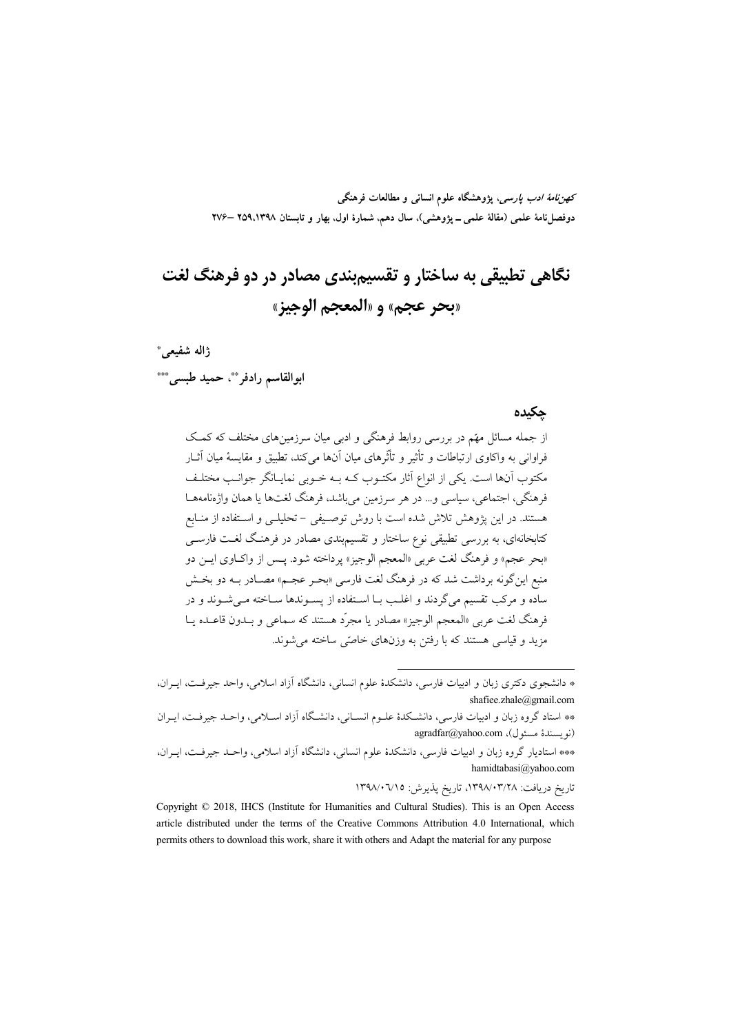*كهن نامهٔ ادب يارسي*، يژوهشگاه علوم انسان<sub>ی</sub> و مطالعات فرهنگي دوفصلiامهٔ علمی (مقالهٔ علمی ــ پژوهشی)، سال دهم، شمارهٔ اول، بهار و تابستان ۱۳۹۸،۱۳۹۸ –۲۷۶

# نگاهي تطبيقي به ساختار و تقسيم بندي مصادر در دو فرهنگ لغت «بحر عجم» و «المعجم الوحيز»

ژاله شفیعی\* ابوالقاسم رادفر \*\*، حميد طبسي \*\*\*

#### حكىدە

از جمله مسائل مهّم در بررسی روابط فرهنگی و ادبی میان سرزمینهای مختلف که کمک فراوانی به واکاوی ارتباطات و تأثیر و تأثّرهای میان آنها می کند، تطبیق و مقایسهٔ میان آثــار مکتوب آنها است. یکی از انواع آثار مکتـوب کـه بـه خـوبی نمایـانگر جوانـب مختلـف فرهنگي، اجتماعي، سياسي و… در هر سرزمين مي باشد، فرهنگ لغتها يا همان واژهنامههـا هستند. در این پژوهش تلاش شده است با روش توصیفی – تحلیلـی و اسـتفاده از منـابع کتابخانهای، به بررسی تطبیقی نوع ساختار و تقسیم.بندی مصادر در فرهنگ لغـت فارســ ٍ «بحر عجم» و فرهنگ لغت عربي «المعجم الوجيز» يرداخته شود. يــس از واكــاوي ايــن دو منبع این گونه برداشت شد که در فرهنگ لغت فارسی «بحـر عجـم» مصـادر بــه دو بخـش ساده و مرکب تقسیم می گردند و اغلب بــا اســتفاده از پســوندها ســاخته مــی شــوند و در فرهنگ لغت عربي «المعجم الوجيز» مصادر يا مجرِّد هستند كه سماعي و بــدون قاعــده يــا مزید و قیاسی هستند که با رفتن به وزنهای خاصّی ساخته می شوند.

تاريخ دريافت: ١٣٩٨/٠٣/٢٨، تاريخ يذيرش: ١٣٩٨/٠٦/١٥

Copyright © 2018, IHCS (Institute for Humanities and Cultural Studies). This is an Open Access article distributed under the terms of the Creative Commons Attribution 4.0 International, which permits others to download this work, share it with others and Adapt the material for any purpose

<sup>\*</sup> دانشجوی دکتری زبان و ادبیات فارسی، دانشکدهٔ علوم انسانی، دانشگاه آزاد اسلامی، واحد جیرفت، ایـران، shafiee.zhale@gmail.com

<sup>\*\*</sup> استاد گروه زبان و ادبیات فارسی، دانشـكدهٔ علــوم انســانی، دانشـگاه آزاد اســلامی، واحــد جیرفــت، ایــران (نو يسندهٔ مسئول)، agradfar@yahoo.com

<sup>\*\*\*</sup> استادیار گروه زبان و ادبیات فارسی، دانشکدهٔ علوم انسانی، دانشگاه آزاد اسلامی، واحـد جیرفـت، ایــران، hamidtabasi@yahoo.com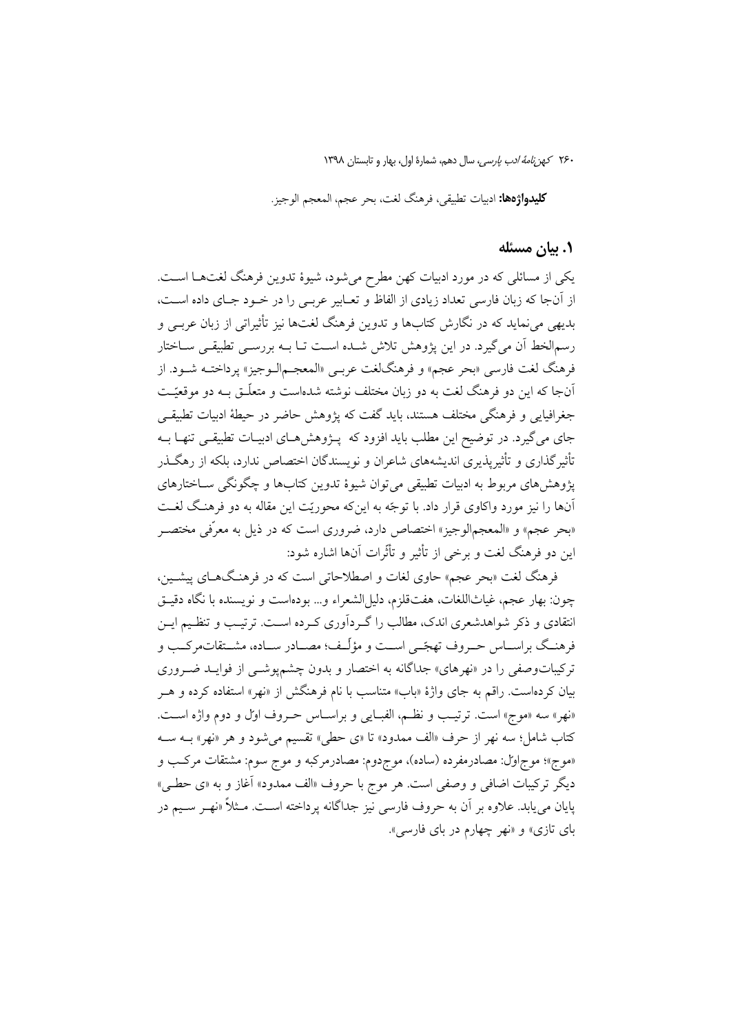**كليدواژهها:** ادبيات تطبيقي، فرهنگ لغت، بحر عجم، المعجم الوجيز.

#### ۰۱ بیان مسئله

یکی از مسائلی که در مورد ادبیات کهن مطرح میشود، شیوهٔ تدوین فرهنگ لغتهـا اسـت. از آنجا که زبان فارسی تعداد زیادی از الفاظ و تعـابیر عربـی را در خـود جـای داده اسـت، بدیهی می نماید که در نگارش کتابها و تدوین فرهنگ لغتها نیز تأثیراتی از زبان عربـی و رسمالخط أن مي گيرد. در اين يژوهش تلاش شـده اسـت تــا بــه بررســي تطبيقــي ســاختار فرهنگ لغت فارسي «بحر عجم» و فرهنگلغت عربـي «المعجـمالـوجيز» پرداختــه شــود. از آنجا که این دو فرهنگ لغت به دو زبان مختلف نوشته شدهاست و متعلّـق بــه دو موقعیّـت جغرافیایی و فرهنگی مختلف هستند، باید گفت که پژوهش حاضر در حیطهٔ ادبیات تطبیقی جای میگیرد. در توضیح این مطلب باید افزود که پـژوهشهـای ادبیـات تطبیقـی تنهـا بـه تأثیرگذاری و تأثیرپذیری اندیشههای شاعران و نویسندگان اختصاص ندارد، بلکه از رهگـذر پژوهش های مربوط به ادبیات تطبیقی میتوان شیوهٔ تدوین کتابها و چگونگی سـاختارهای آنها را نیز مورد واکاوی قرار داد. با توجّه به اینکه محوریّت این مقاله به دو فرهنگ لغـت «بحر عجم» و «المعجمالوجيز» اختصاص دارد، ضروري است كه در ذيل به معرِّفي مختصـر این دو فرهنگ لغت و برخی از تأثیر و تأثّرات آنها اشاره شود:

فرهنگ لغت «بحر عجم» حاوی لغات و اصطلاحاتی است که در فرهنگهـای پیشـین، چون: بهار عجم، غياثاللغات، هفتقلزم، دليل|لشعراء و... بودهاست و نويسنده با نگاه دقيـق انتقادی و ذکر شواهدشعری اندک، مطالب را گـردآوری کـرده اسـت. ترتیـب و تنظـیم ایـن فرهنـگ براســاس حــروف تهجّــي اســت و مؤلّــف؛ مصــادر ســاده، مشــتقاتمركــب و ترکیباتوصفی را در «نهرهای» جداگانه به اختصار و بدون چشم یوشــی از فوایــد ضــروری بیان کردهاست. راقم به جای واژهٔ «باب» متناسب با نام فرهنگش از «نهر» استفاده کرده و هــر «نهر» سه «موج» است. ترتيب و نظم، الفبايي و براسـاس حـروف اول و دوم واژه اسـت. كتاب شامل؛ سه نهر از حرف «الف ممدود» تا «ي حطى» تقسيم مي شود و هر «نهر» بــه ســه «موج»؛ موج|ول: مصادرمفرده (ساده)، موجِدوم: مصادرمركبه و موج سوم: مشتقات مركب و ديگر تركيبات اضافي و وصفي است. هر موج با حروف «الف ممدود» آغاز و به «ي حطـي» پایان می یابد. علاوه بر آن به حروف فارسی نیز جداگانه پرداخته اسـت. مـثلاً «نهـر سـیم در بای تازی» و «نهر چهارم در بای فارسی».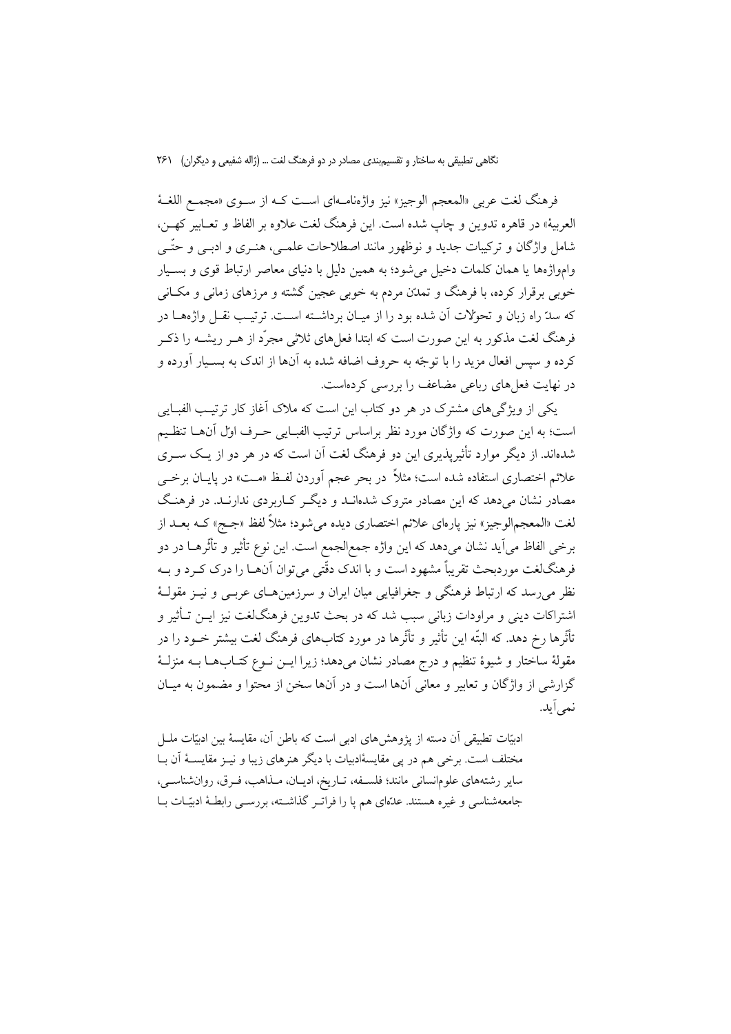فرهنگ لغت عربي «المعجم الوجيز» نيز واژەنامـهاي اسـت كـه از سـوى «مجمـع اللغــهٔ العربية» در قاهره تدوين و چاپ شده است. اين فرهنگ لغت علاوه بر الفاظ و تعـابير كهـن، شامل واژگان و ترکیبات جدید و نوظهور مانند اصطلاحات علمــی، هنــری و ادبــی و حتّــی وامواژهها یا همان کلمات دخیل میشود؛ به همین دلیل با دنیای معاصر ارتباط قوی و بسـیار خوبی برقرار کرده، با فرهنگ و تمدَّن مردم به خوبی عجین گشته و مرزهای زمانی و مکـانی که سدّ راه زبان و تحولات آن شده بود را از میـان برداشــته اســت. ترتیــب نقــل واژههــا در فرهنگ لغت مذکور به این صورت است که ابتدا فعلِهای ثلاثی مجرّد از هــر ریشــه را ذکــر کرده و سپس افعال مزید را با توجّه به حروف اضافه شده به آنها از اندک به بسـیار آورده و در نهایت فعلهای رباعی مضاعف را بررسی کردهاست.

یکی از ویژگی های مشترک در هر دو کتاب این است که ملاک آغاز کار ترتیب الفبایی است؛ به این صورت که واژگان مورد نظر براساس ترتیب الفبـایی حـرف اول آنهـا تنظـیم شدهاند. از دیگر موارد تأثیرپذیری این دو فرهنگ لغت آن است که در هر دو از یـک ســری علائم اختصاری استفاده شده است؛ مثلاً در بحر عجم آوردن لفـظ «مـت» در پایــان برخـــي مصادر نشان میدهد که این مصادر متروک شدهانـد و دیگـر کـاربردی ندارنـد. در فرهنـگ لغت «المعجم|لوجيز» نيز پارهاي علائم اختصاري ديده مي شود؛ مثلاً لفظ «جــج» كــه بعــد از برخي الفاظ مي آيد نشان ميدهد كه اين واژه جمع|لجمع است. اين نوع تأثير و تأثُّرهــا در دو فرهنگلغت موردبحث تقریباً مشهود است و با اندک دقّتی می توان آنهــا را درک کــرد و بــه نظر می رسد که ارتباط فرهنگی و جغرافیایی میان ایران و سرزمین هـای عربـی و نیــز مقولــهٔ اشتراکات دینی و مراودات زبانی سبب شد که در بحث تدوین فرهنگ $i$ لغت نیز ایــن تــأثیر و تأثُّرها رخ دهد. که البتَّه این تأثیر و تأثُّرها در مورد کتابهای فرهنگ لغت بیشتر خــود را در مقولهٔ ساختار و شیوهٔ تنظیم و درج مصادر نشان میدهد؛ زیرا ایــن نــوع کتــابهــا بــه منزلــهٔ گزارشی از واژگان و تعاییر و معانی آنها است و در آنها سخن از محتوا و مضمون به میـان نمے آبد.

ادبیّات تطبیقی آن دسته از پژوهشهای ادبی است که باطن آن، مقایسهٔ بین ادبیّات ملـل مختلف است. برخی هم در پی مقایسهٔادبیات با دیگر هنرهای زیبا و نیـز مقایسـهٔ آن بـا ساير رشتههاي علومانساني مانند؛ فلسفه، تباريخ، اديبان، مبذاهب، فبرق، روان شناسبي، جامعهشناسی و غیره هستند. عدّمای هم یا را فراتـر گذاشـته، بررسـی رابطـهٔ ادبیّـات بـا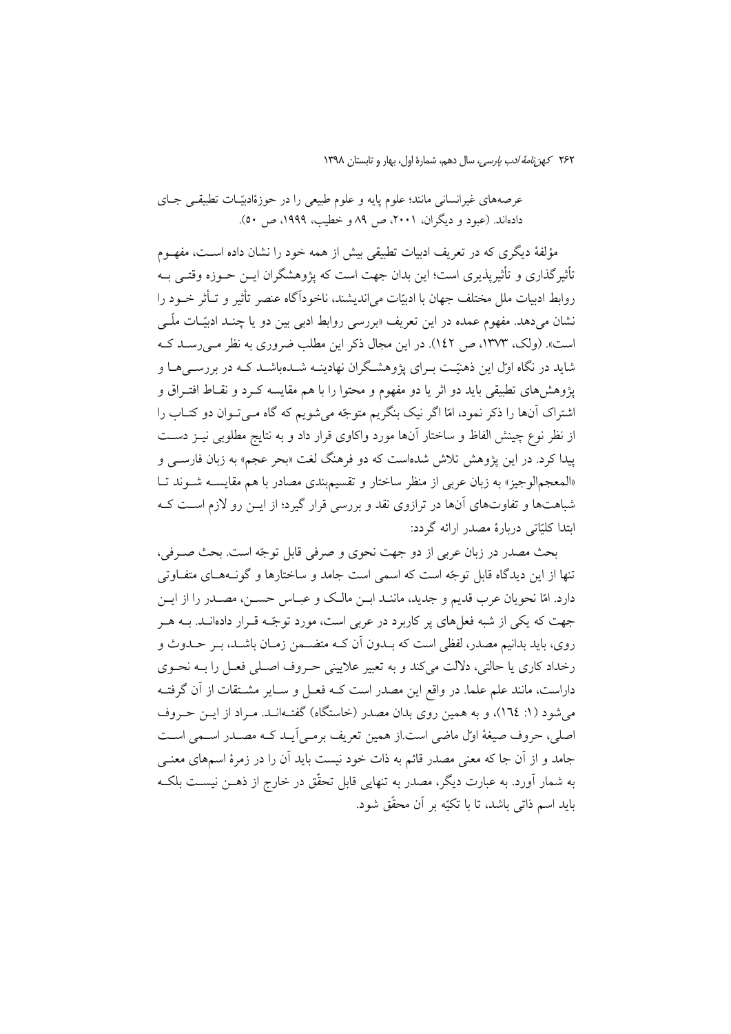عرصههای غیرانسانی مانند؛ علوم پایه و علوم طبیعی را در حوزهٔادبیّـات تطبیقـی جـای دادهاند. (عبود و دیگران، ۲۰۰۱، ص ۸۹ و خطیب، ۱۹۹۹، ص ٥٠).

مؤلفهٔ دیگری که در تعریف ادبیات تطبیقی بیش از همه خود را نشان داده اسـت، مفهــوم تأثیرگذاری و تأثیرپذیری است؛ این بدان جهت است که پژوهشگران ایــن حــوزه وقتــی بــه روابط ادبيات ملل مختلف جهان با ادبيّات مي انديشند، ناخوداً گاه عنصر تأثير و تـأثر خـود را نشان میدهد. مفهوم عمده در این تعریف «بررسی روابط ادبی بین دو یا چنـد ادبیّـات ملّـی است». (ولک، ۱۳۷۳، ص ۱٤۲). در این مجال ذکر این مطلب ضروری به نظر مے رسید ک شاید در نگاه اول این ذهنیّت بـرای پژوهشـگران نهادینـه شــدهباشــد کــه در بررســیهــا و پژوهشهای تطبیقی باید دو اثر یا دو مفهوم و محتوا را با هم مقایسه کـرد و نقــاط افتــراق و اشتراک آنها را ذکر نمود، امّا اگر نیک بنگریم متوجّه می شویم که گاه مـی تـوان دو کتـاب را از نظر نوع چینش الفاظ و ساختار آنها مورد واکاوی قرار داد و به نتایج مطلوبی نیـز دسـت پیدا کرد. در این پژوهش تلاش شدهاست که دو فرهنگ لغت «بحر عجم» به زبان فارســی و «المعجمالوجیز» به زبان عربی از منظر ساختار و تقسیمبندی مصادر با هم مقایســه شــوند تــا شباهتها و تفاوتهای آنها در ترازوی نقد و بررسی قرار گیرد؛ از ایــن رو لازم اسـت کــه ابتدا كليّاتي دربارهٔ مصدر ارائه گردد:

بحث مصدر در زبان عربی از دو جهت نحوی و صرفی قابل توجّه است. بحث صـرفی، تنها از این دیدگاه قابل توجّه است که اسمی است جامد و ساختارها و گونـههـای متفـاوتی دارد. امّا نحویان عرب قدیم و جدید، ماننـد ابــن مالـک و عبــاس حســن، مصــدر را از ایــن جهت که یکی از شبه فعلهای پر کاربرد در عربی است، مورد توجّـه قـرار دادهانــد. بــه هــر روی، باید بدانیم مصدر، لفظی است که بــدون آن کــه متضــمن زمــان باشــد، بــر حــدوث و رخداد کاری یا حالتی، دلالت می کند و به تعبیر علایینی حـروف اصـلی فعـل را بـه نحـوی داراست، مانند علم علما. در واقع این مصدر است کـه فعـل و سـایر مشـتقات از آن گرفتـه می شود (۱: ۱۲٤)، و به همین روی بدان مصدر (خاستگاه) گفتـهانـد. مـراد از ایــن حــروف اصلي، حروف صيغة اول ماضي است از همين تعريف برمبي آيـد كـه مصـدر اسـمي اسـت جامد و از آن جا که معنی مصدر قائم به ذات خود نیست باید آن را در زمرهٔ اسمهای معنــی به شمار آورد. به عبارت دیگر، مصدر به تنهایی قابل تحقّق در خارج از ذهــن نیســت بلکـه بايد اسم ذاتي باشد، تا با تكيّه بر آن محقّق شود.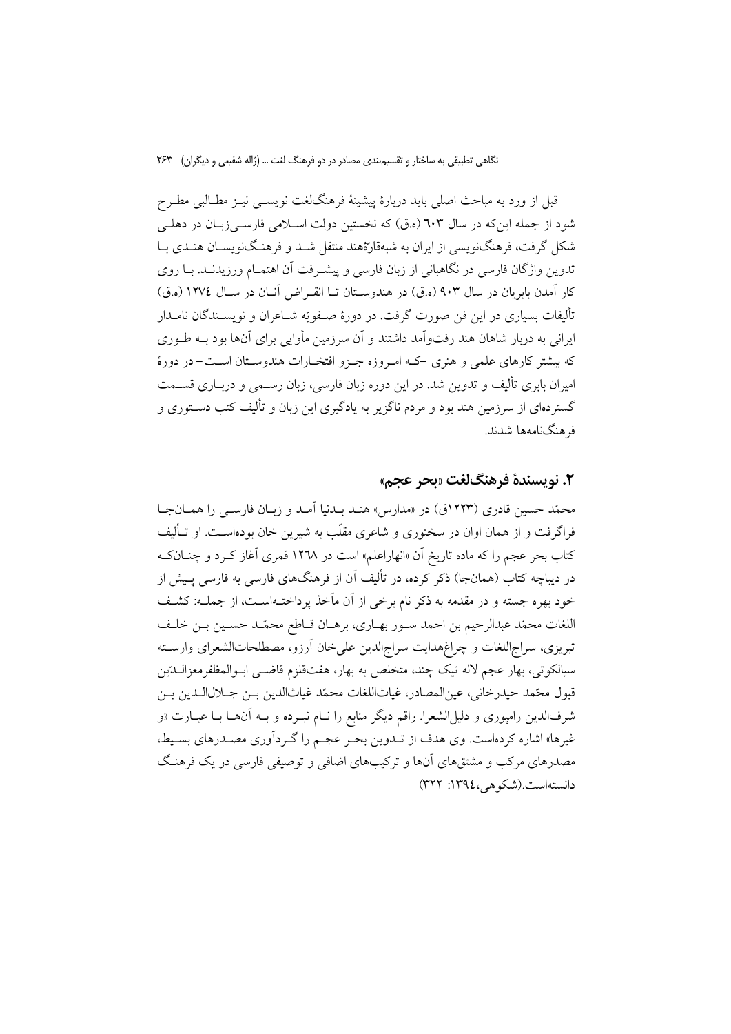قبل از ورد به مباحث اصلی باید دربارهٔ پیشینهٔ فرهنگلغت نویســی نیــز مطــالبی مطــرح شود از جمله این که در سال ٦٠٣ (ه.ق) که نخستین دولت اسـلامی فارســی(بـان در دهلــی شکل گرفت، فرهنگنویسی از ایران به شبهقارّهٔهند منتقل شـد و فرهنگنویسـان هنـدی بـا تدوین واژگان فارسی در نگاهبانی از زبان فارسی و پیشـرفت آن اهتمــام ورزیدنــد. بــا روی كار آمدن بابريان در سال ۹۰۳ (ه.ق) در هندوسـتان تـا انقـراض آنــان در ســال ١٢٧٤ (ه.ق) تأليفات بسياري در اين فن صورت گرفت. در دورهٔ صـفويّه شــاعران و نويســندگان نامــدار ایرانی به دربار شاهان هند رفتواّمد داشتند و آن سرزمین مأوایی برای آنها بود بـه طـوری که بیشتر کارهای علمی و هنری که امروزه جـزو افتخـارات هندوسـتان اسـت-در دورهٔ امیران بابری تألیف و تدوین شد. در این دوره زبان فارسی، زبان رســمی و دربــاری قســمت گستردهای از سرزمین هند بود و مردم ناگزیر به یادگیری این زبان و تألیف کتب دســتوری و فر هنگنامەها شدند.

# ٢. نويسندة فرهنگلغت «بحر عجم»

محمّد حسین قادری (۱۲۲۳ق) در «مدارس» هنـد بـدنیا آمـد و زبـان فارسـی را همـانجـا فراگرفت و از همان اوان در سخنوری و شاعری مقلّب به شیرین خان بودهاسـت. او تـألیف کتاب بحر عجم را که ماده تاریخ اَن «انهاراعلم» است در ۱۲۷۸ قمری اَغاز کـرد و چنــانکـه در دیباچه کتاب (همانجا) ذکر کرده، در تألیف آن از فرهنگهای فارسی به فارسی پـیش از خود بهره جسته و در مقدمه به ذکر نام برخی از آن مأخذ برداخت1است، از جملـه: کشـف اللغات محمّد عبدالرحيم بن احمد سـور بهـاري، برهـان قـاطع محمّـد حسـين بـن خلـف تبریزی، سراجاللغات و چراغهدایت سراجالدین علیخان آرزو، مصطلحاتالشعرای وارسته سيالكوتي، بهار عجم لاله تيك چند، متخلص به بهار، هفتقلزم قاضــي ابــوالمظفرمعزالــدّين قبول محّمد حيدرخاني، عين|لمصادر، غياث|للغات محمّد غياث|لدين بـن جــلال|لــدين بـن شرفالدین رامپوری و دلیلالشعرا. راقم دیگر منابع را نــام نبــرده و بــه آنهــا بــا عبــارت «و غیرها» اشاره کردهاست. وی هدف از تــدوین بحـر عجـم را گــردآوری مصــدرهای بســیط، مصدرهای مرکب و مشتقهای آنها و ترکیبهای اضافی و توصیفی فارسی در یک فرهنگ دانستهاست.(شکوهی،١٣٩٤: ٣٢٢)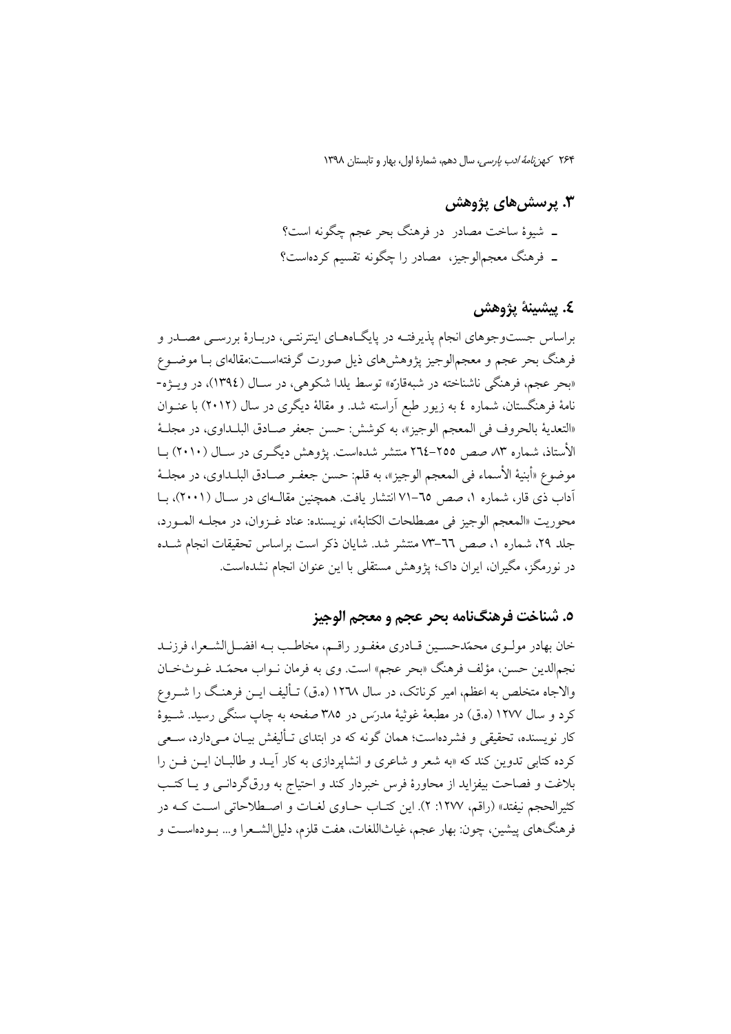# ۳. پرسش های پژوهش ۔ شیوۂ ساخت مصادر در فرہنگ بحر عجم چگونه است؟ ۔ فرہنگ معجمالوجیز، مصادر را چگونه تقسیم کردہاست؟

# ٤. پيشينۀ پژوهش

براساس جستوجوهای انجام پذیرفتـه در پایگـاههـای اینترنتـی، دربـارهٔ بررســی مصــدر و فرهنگ بحر عجم و معجم|لوجیز یژوهشهای ذیل صورت گرفته|سـت:مقاله|ی بــا موضــوع «بحر عجم، فرهنگي ناشناخته در شبهقاره» توسط يلدا شكوهي، در سـال (١٣٩٤)، در ويــژه-نامهٔ فرهنگستان، شماره ٤ به زیور طبع آراسته شد. و مقالهٔ دیگری در سال (٢٠١٢) با عنــوان «التعدية بالحروف في المعجم الوجيز»، به كوشش: حسن جعفر صـادق البلـداوي، در مجلــهٔ الأستاذ، شماره ۸۳ صص ۲۵۵–۲۶۵ منتشر شدهاست. یژوهش دیگری در سـال (۲۰۱۰) بـا موضوع «أبنية الأسماء في المعجم الوجيز»، به قلم: حسن جعفـر صـادق البلــداوي، در مجلــهٔ آداب ذی قار، شماره ۱، صص ٦٥–٧١ انتشار یافت. همچنین مقالـهای در سـال (۲۰۰۱)، بـا محوريت «المعجم الوجيز في مصطلحات الكتابة»، نويسنده: عناد غـزوان، در مجلـه المـورد، جلد ٢٩، شماره ١، صص ٦٦-٧٣ منتشر شد. شايان ذكر است براساس تحقيقات انجام شـده در نورمگز، مگیران، ایران داک؛ پژوهش مستقلبی با این عنوان انجام نشدهاست.

### ٥. شناخت فرهنگنامه بحر عجم و معجم الوجيز

خان بهادر مولـوي محمّدحسـين قـادري مغفـور راقـم، مخاطـب بـه افضـلالشـعرا، فرزنـد نجم|لدين حسن، مؤلف فرهنگ «بحر عجم» است. وي به فرمان نــواب محمّــد غــوثخــان والاجاه متخلص به اعظم، امیر کرناتک، در سال ۱۲۷۸ (ه.ق) تـألیف ایـن فرهنـگ را شــروع کرد و سال ۱۲۷۷ (ه.ق) در مطبعهٔ غوثیهٔ مدرس در ۳۸۵ صفحه به چاپ سنگی رسید. شـیوهٔ کار نویسنده، تحقیقی و فشردهاست؛ همان گونه که در ابتدای تـألیفش بیـان مـیدارد، سـعی کرده کتابی تدوین کند که «به شعر و شاعری و انشایردازی به کار آیید و طالبیان این فین را بلاغت و فصاحت بیفزاید از محاورهٔ فرس خبردار کند و احتیاج به ورق گردانــی و یــا کتــب کثیرالحجم نیفتد» (راقم، ۱۲۷۷: ۲). این کتـاب حــاوی لغــات و اصــطلاحاتی اســت کــه در فرهنگهاي پيشين، چون: بهار عجم، غياثاللغات، هفت قلزم، دليلالشـعرا و… بـودهاســت و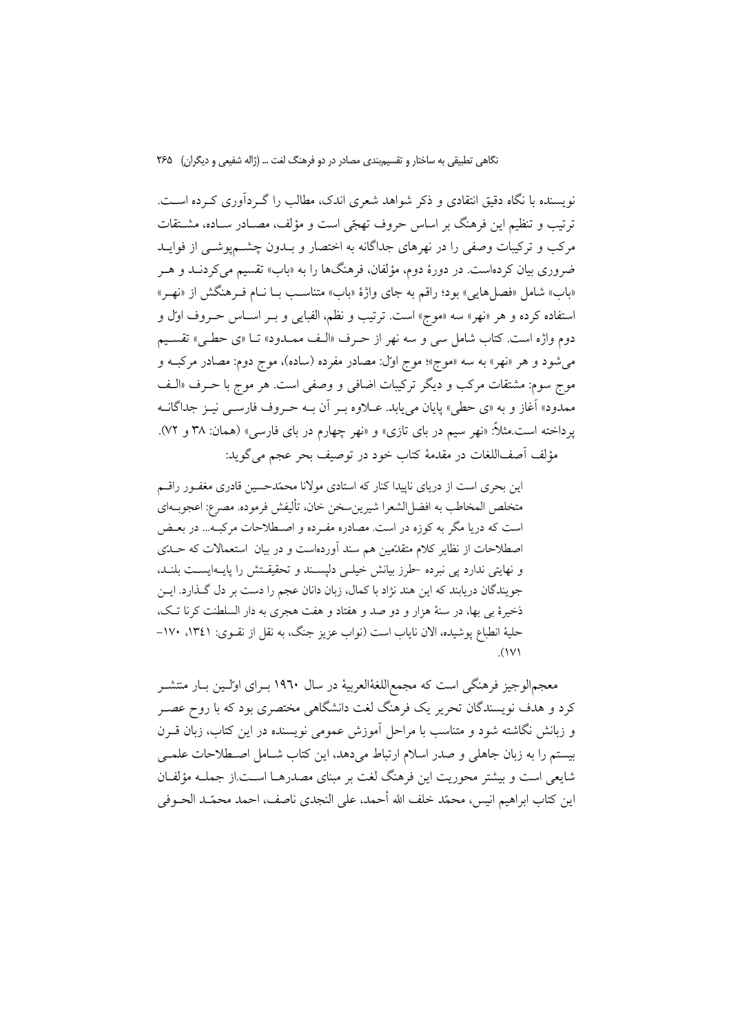نویسنده با نگاه دقیق انتقادی و ذکر شواهد شعری اندک، مطالب را گـردآوری کـرده اسـت. ترتيب و تنظيم اين فرهنگ بر اساس حروف تهجّي است و مؤلف، مصـادر سـاده، مشــتقات مرکب و ترکیبات وصفی را در نهرهای جداگانه به اختصار و بــدون چشــمپوشــی از فوایــد ضروری بیان کردهاست. در دورهٔ دوم، مؤلفان، فرهنگها را به «باب» تقسیم میکردنــد و هــر «باب» شامل «فصل هایی» بود؛ راقم به جای واژهٔ «باب» متناسب بـا نــام فــرهنگش از «نهـر» استفاده كرده و هر «نهر» سه «موج» است. ترتيب و نظم، الفبايي و بـر اسـاس حـروف اول و دوم واژه است. كتاب شامل سي و سه نهر از حرف «الـف ممــدود» تــا «ي حطـي» تقســيم می شود و هر «نهر» به سه «موج»؛ موج اول: مصادر مفرده (ساده)، موج دوم: مصادر مرکبـه و موج سوم: مشتقات مرکب و دیگر ترکیبات اضافی و وصفی است. هر موج با حـرف «الـف ممدود» آغاز و به «ي حطي» پايان مييابد. عــلاوه بــر آن بــه حــروف فارســي نيــز جداگانــه پرداخته است.مثلاً: «نهر سیم در بای تازی» و «نهر چهارم در بای فارسی» (همان: ۳۸ و ۷۲). مؤلف أصف|للغات در مقدمهٔ كتاب خود در توصيف بحر عجم مي گويد:

این بحری است از دریای ناپیدا کنار که استادی مولانا محمّدحسین قادری مغفـور راقـم متخلص المخاطب به افضل|لشعرا شيرينسخن خان، تأليفش فرموده. مصرع: اعجوبــهاي است که دریا مگر به کوزه در است. مصادره مفـرده و اصـطلاحات مرکبـه... در بعـض اصطلاحات از نظایر کلام متقدِّمین هم سند آوردهاست و در بیان استعمالات که حـلَّتی و نهایتی ندارد پی نبرده حلرز بیانش خیلی دلپسند و تحقیقتش را پایـهایسـت بلنـد، جو پندگان دریابند که این هند نژاد با کمال، زبان دانان عجم را دست بر دل گذارد. ایــن ذخیرهٔ بی بها، در سنهٔ هزار و دو صد و هفتاد و هفت هجری به دار السلطنت کرنا تک، حليهٔ انطباع يوشيده، الان ناياب است (نواب عزيز جنگ، به نقل از نقـوي: ١٣٤١، ١٧٠- $\Lambda$ 

معجم|لوجیز فرهنگی است که مجمع|للغهٔالعربیهٔ در سال ۱۹٦۰ بـرای اولـین بـار منتشـر کرد و هدف نویسندگان تحریر یک فرهنگ لغت دانشگاهی مختصری بود که با روح عصـر و زبانش نگاشته شود و متناسب با مراحل آموزش عمومی نویسنده در این کتاب، زبان قـرن بیستم را به زبان جاهلی و صدر اسلام ارتباط می دهد، این کتاب شــامل اصــطلاحات علمــی شايعي است و بيشتر محوريت اين فرهنگ لغت بر مبناي مصدرهـا اسـت از جملـه مؤلفـان اين كتاب ابراهيم انيس، محمّد خلف الله أحمد، على النجدي ناصف، احمد محمّد الحــوفي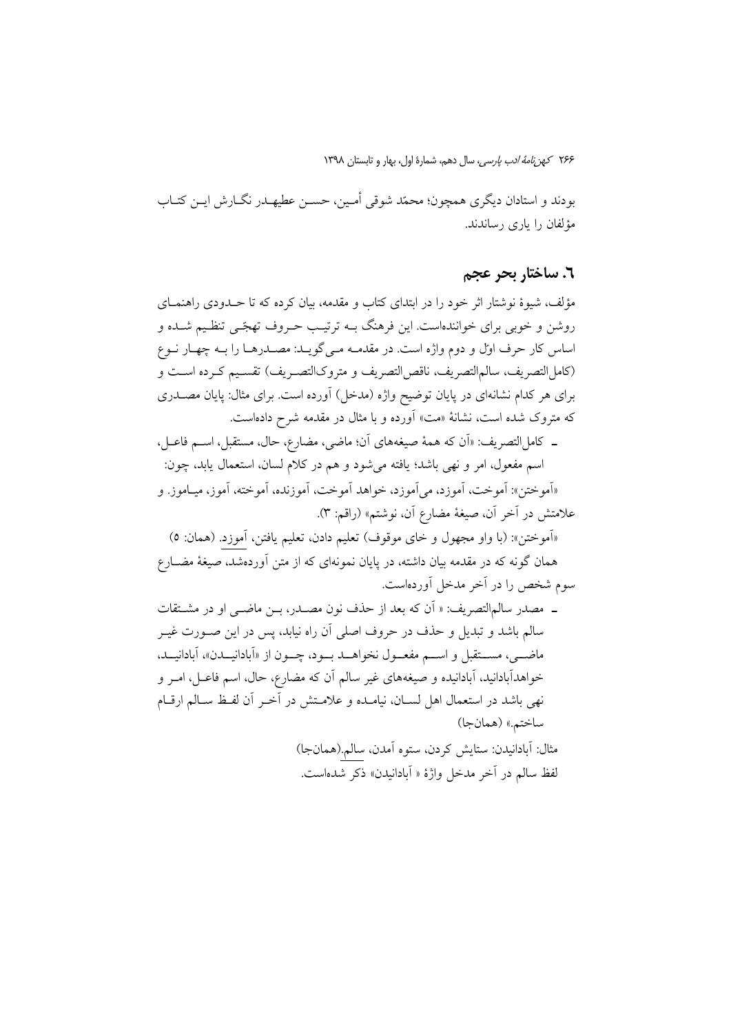بودند و استادان ديگري همچون؛ محمّد شوقي أمـين، حسـن عطيهــدر نگــارش ايــن كتــاب مؤلفان را باری رساندند.

## ٦. ساختار بحر عجم

مؤلف، شیوهٔ نوشتار اثر خود را در ابتدای کتاب و مقدمه، بیان کرده که تا حــدودی راهنمــای روشن و خوبی برای خوانندهاست. این فرهنگ بـه ترتیـب حـروف تهجّـی تنظـیم شــده و اساس كار حرف اول و دوم واژه است. در مقدمـه مـيگويــد: مصــدرهـا را بــه چهـار نــوع (كامل|لتصريف، سالم|لتصريف، ناقص|لتصريف و متروك|لتصـريف) تقسـيم كـرده اسـت و برای هر کدام نشانهای در پایان توضیح واژه (مدخل) آورده است. برای مثال: پایان مصــدری که متروک شده است، نشانهٔ «مت» اَورده و با مثال در مقدمه شرح دادهاست.

ـ كاملالتصريف: «اَن كه همهٔ صيغههاي اَن؛ ماضي، مضارع، حال، مستقبل، اســم فاعــل، اسم مفعول، امر و نهي باشد؛ يافته مي شود و هم در كلام لسان، استعمال يابد، چون:

«آموختن»: آموخت، آموزد، مي آموزد، خواهد آموخت، آموزنده، آموخته، آموز، ميـاموز. و علامتش در آخر آن، صيغهٔ مضارع آن، نوشتم» (راقم: ٣).

«آموختن»: (با واو مجهول و خاي موقوف) تعليم دادن، تعليم يافتن، آموزد. (همان: ٥) همان گونه که در مقدمه بیان داشته، در پایان نمونهای که از متن اَوردهشد، صیغهٔ مضــارع سوم شخص را در آخر مدخل آوردهاست.

ـ مصدر سالم التصريف: « أن كه بعد از حذف نون مصـدر، بــن ماضــي او در مشــتقات سالم باشد و تبدیل و حذف در حروف اصلی آن راه نیابد، پس در این صـورت غیــر ماضيي، مستقبل و اسم مفعـول نخواهــد بـود، چــون از «أبادانيــدن»، أبادانيــد، خواهدآبادانید، آبادانیده و صیغههای غیر سالم آن که مضارع، حال، اسم فاعــل، امــر و نهي باشد در استعمال اهل لســان، نيامــده و علامــتش در أخــر أن لفـظ ســالم ارقــام ساختم.» (همانجا) مثال: آبادانيدن: ستايش كردن، ستوه آمدن، سالم.(همانجا) لفظ سالم در آخر مدخل واژهٔ « آبادانیدن» ذکر شدهاست.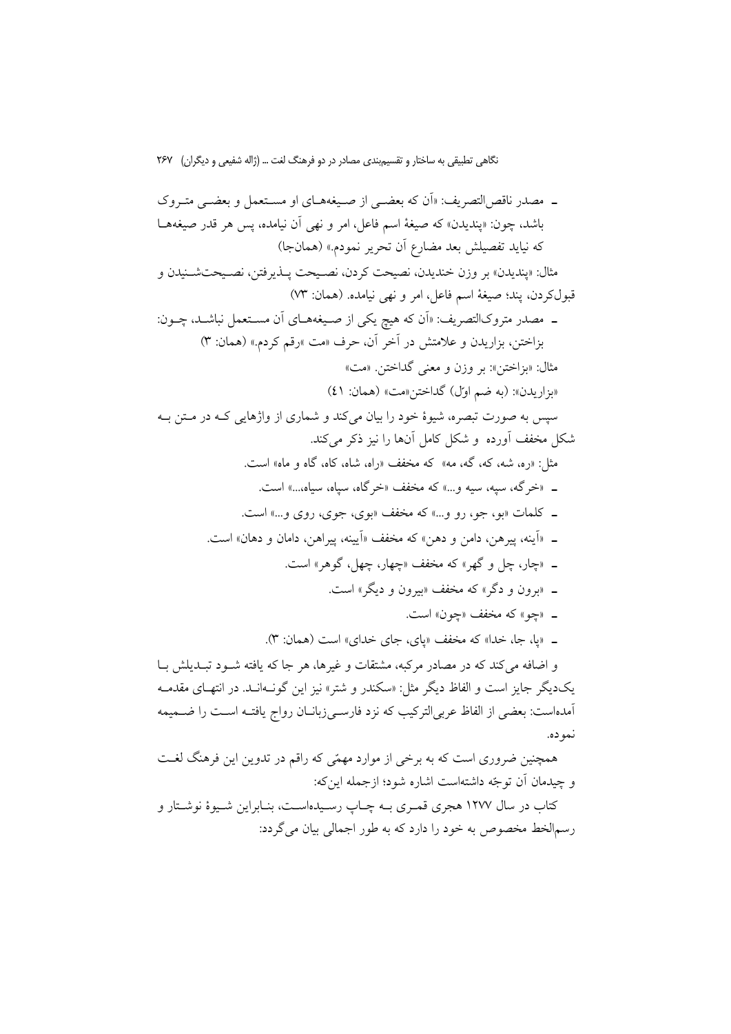ـ مصدر ناقص التصريف: «اَن كه بعضـي از صـيغههــاي او مســتعمل و بعضــي متــروک باشد، چون: «ينديدن» كه صيغة اسم فاعل، امر و نهى أن نيامده، يس هر قدر صيغههـا كه نيايد تفصيلش بعد مضارع أن تحرير نمودم.» (همانجا) مثال: «ينديدن» بر وزن خنديدن، نصيحت كردن، نصـيحت پــذيرفتن، نصـيحتشــنيدن و قبولكردن، يند؛ صيغة اسم فاعل، امر و نهي نيامده. (همان: ٧٣) ـ مصدر متروکالتصریف: «اَن که هیچ یکی از صـیغههـای اَن مسـتعمل نباشـد، چــون: بزاختن، بزاريدن و علامتش در آخر أن، حرف «مت »رقم كردم.» (همان: ٣) مثال: «بزاختن»: بر وزن و معنی گداختن. «مت» «بزاريدن»: (به ضم اول) گداختن«مت» (همان: ٤١) سیس به صورت تبصره، شیوهٔ خود را بیان میکند و شماری از واژهایی کـه در مـتن بـه شکل مخفف آورده و شکل کامل آنها را نیز ذکر میکند. مثل: «ره، شه، که، گه، مه» که مخفف «راه، شاه، کاه، گاه و ماه» است. \_ «خرگه، سبه، سبه و ...» که مخفف «خرگاه، سیاه، سیاه....» است. \_ کلمات «بو، جو، رو و…» که مخفف «بوی، جوی، روی و…» است. ـ «أينه، ييرهن، دامن و دهن» كه مخفف «أيينه، ييراهن، دامان و دهان» است. \_ «چار، چل و گهر» که مخفف «چهار، چهل، گوهر» است. ـ «برون و دگر» که مخفف «بیرون و دیگر» است. \_ «حو» كه مخفف «حون» است. \_ «یا، جا، خدا» که مخفف «یای، جای خدای» است (همان: ۳). و اضافه می کند که در مصادر مرکبه، مشتقات و غیرها، هر جا که یافته شـود تبـدیلش بـا یکدیگر جایز است و الفاظ دیگر مثل: «سکندر و شتر» نیز این گونـهانـد. در انتهـای مقدمـه

آمدهاست: بعضی از الفاظ عربی|لترکیب که نزد فارسـیiبانـان رواج یافتــه اسـت را ضــمیمه نموده.

همچنین ضروری است که به برخی از موارد مهمّی که راقم در تدوین این فرهنگ لغـت و چیدمان آن توجّه داشتهاست اشاره شود؛ ازجمله این که:

کتاب در سال ۱۲۷۷ هجری قمـری بــه چـاپ رسـیدهاســت، بنــابراین شــیوهٔ نوشــتار و رسمالخط مخصوص به خود را دارد که به طور اجمالی بیان می گردد: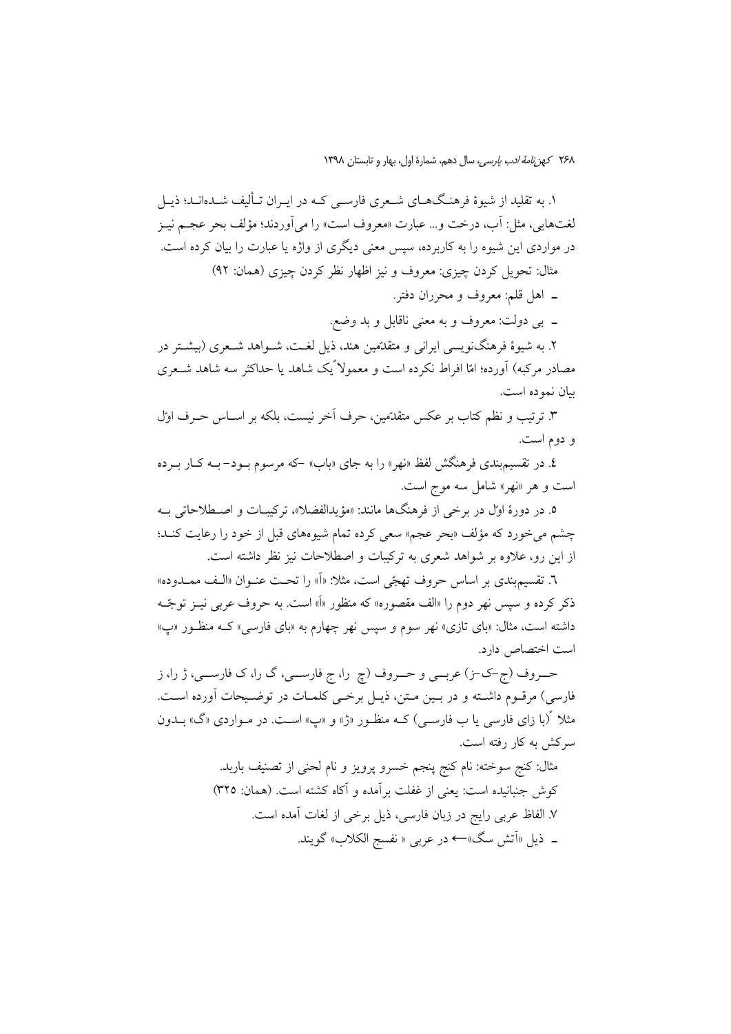۱. به تقلید از شیوهٔ فرهنگهــای شــعری فارســی کــه در ایــران تــألیف شــدهانــد؛ ذیــل لغتهايي، مثل: أب، درخت و… عبارت «معروف است» را مي أوردند؛ مؤلف بحر عجــم نيــز در مواردی این شیوه را به کاربرده، سیس معنی دیگری از واژه یا عبارت را بیان کرده است. مثال: تحويل كردن چيزي: معروف و نيز اظهار نظر كردن چيزي (همان: ٩٢)

ـ اهل قلم: معروف و محرران دفتر.

ــ بي دولت: معروف و به معنى ناقابل و بد وضع.

۲. به شیوهٔ فرهنگنویسی ایرانی و متقدّمین هند، ذیل لغـت، شــواهد شــعری (بیشــتر در مصادر مرکبه) آورده؛ امّا افراط نکرده است و معمولاً یک شاهد یا حداکثر سه شاهد شــعری بيان نموده است.

۳. ترتیب و نظم کتاب بر عکس متقدّمین، حرف اَخر نیست، بلکه بر اسـاس حـرف اول و دوم است.

٤. در تقسیم بندی فرهنگش لفظ «نهر» را به جای «باب» -که مرسوم بـود- بـه کــار بـرده است و هر «نهر» شامل سه موج است.

٥. در دورهٔ اول در برخی از فرهنگها مانند: «مؤيدالفضلا»، تركيبـات و اصـطلاحاتی بــه چشم می خورد که مؤلف «بحر عجم» سعی کرده تمام شیوههای قبل از خود را رعایت کنـد؛ از این رو، علاوه بر شواهد شعری به ترکیبات و اصطلاحات نیز نظر داشته است.

٦. تقسيم بندي بر اساس حروف تهجّى است، مثلا: «اَ» را تحت عنـوان «الـف ممــدوده» ذکر کرده و سپس نهر دوم را «الف مقصوره» که منظور «اَ» است. به حروف عربی نیــز توجّــه داشته است، مثال: «بای تازی» نهر سوم و سیس نهر چهارم به «بای فارسی» کـه منظـور «پ» است اختصاص دارد.

حــروف (ج-ک-ز) عربـــي و حـــروف (چ را، ج فارســـي، گ را، ک فارســـي، ژ را، ز فارسی) مرقـوم داشـته و در بـین مـتن، ذیـل برخـی کلمـات در توضـیحات آورده اسـت. مثلا گربا زای فارسی یا ب فارســی) کــه منظــور «ژ» و «پ» اســت. در مــواردی «گ» بــدون سرکش به کار رفته است.

> مثال: كنج سوخته: نام كنج پنجم خسرو پرويز و نام لحني از تصنيف باربد. كوش جنبانيده است: يعني از غفلت برآمده و آكاه كشته است. (همان: ٣٢٥) ٧. الفاظ عربي رايج در زبان فارسي، ذيل برخي از لغات آمده است. \_ ذيل «اَتش سگ»← در عربي « نفسج الكلاب» گويند.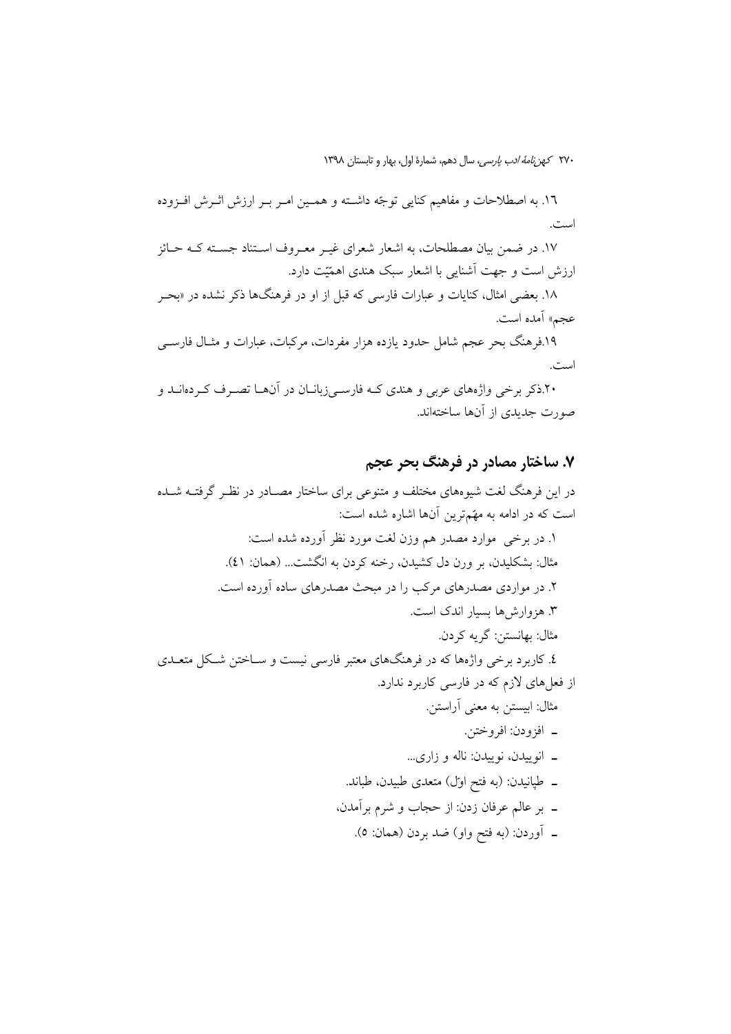١٦. به اصطلاحات و مفاهيم كنايي توجّه داشـته و همـين امـر بـر ارزش اثـرش افـزوده اميدس

۱۷. در ضمن بیان مصطلحات، به اشعار شعرای غیـر معـروف اسـتناد جسـته کـه حـائز ارزش است و جهت آشنایی با اشعار سبک هندی اهمّتت دارد.

۱۸. بعضی امثال، کنایات و عبارات فارسی که قبل از او در فرهنگها ذکر نشده در «بحـر عجم» آمده است. ۱۹.فرهنگ بحر عجم شامل حدود یازده هزار مفردات، مرکبات، عبارات و مثـال فارســی است. ۶.۰٪ برخی واژههای عربی و هندی کـه فارسـی;بانــان در آنهــا تصــرف کــردهانــد و

صورت جدیدی از آنها ساختهاند.

### ۷. ساختار مصادر در فرهنگ بحر عجم

در این فرهنگ لغت شیوههای مختلف و متنوعی برای ساختار مصـادر در نظـر گرفتــه شــده است که در ادامه به مهّمترین آنها اشاره شده است: ١. در برخي موارد مصدر هم وزن لغت مورد نظر أورده شده است: مثال: بشكليدن، بر ورن دل كشيدن، رخنه كردن به انگشت... (همان: ٤١). ۲. در مواردی مصدرهای مرکب را در مبحث مصدرهای ساده آورده است. ۳. هزوارش ها بسیار اندک است. مثال: بهانستن: گريه کردن. ٤. کاربرد برخی واژهها که در فرهنگهای معتبر فارسی نیست و ســاختن شــکل متعــدی از فعلهای لازم که در فارسی کاربرد ندارد. مثال: ابیستن به معنی أراستن. ـ افزودن: افروختن. ـ انوییدن، نوییدن: ناله و زاری... \_ طپانیدن: (به فتح اول) متعدی طبیدن، طباند. ـ بر عالم عرفان زدن: از حجاب و شرم برآمدن، \_ أوردن: (به فتح واو) ضد بردن (همان: ٥).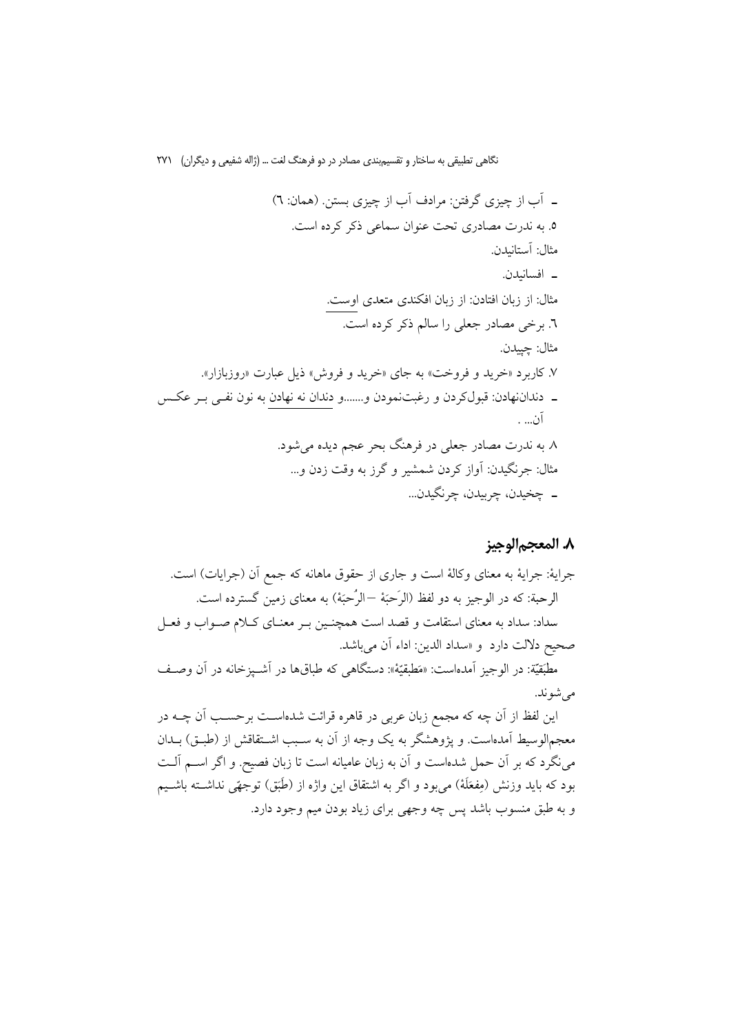# ٨. المعجم|لوجيز

معجم|لوسیط اَمدهاست. و پژوهشگر به یک وجه از اَن به سـبب اشــتقاقش از (طبــق) بــدان می نگرد که بر آن حمل شدهاست و آن به زبان عامیانه است تا زبان فصیح. و اگر اســم آلــت بود که باید وزنش (مِفعَلَهٔ) میّبود و اگر به اشتقاق این واژه از (طَبَق) توجهًی نداشــته باشــیم و به طبق منسوب باشد پس چه وجهی برای زیاد بودن میم وجود دارد.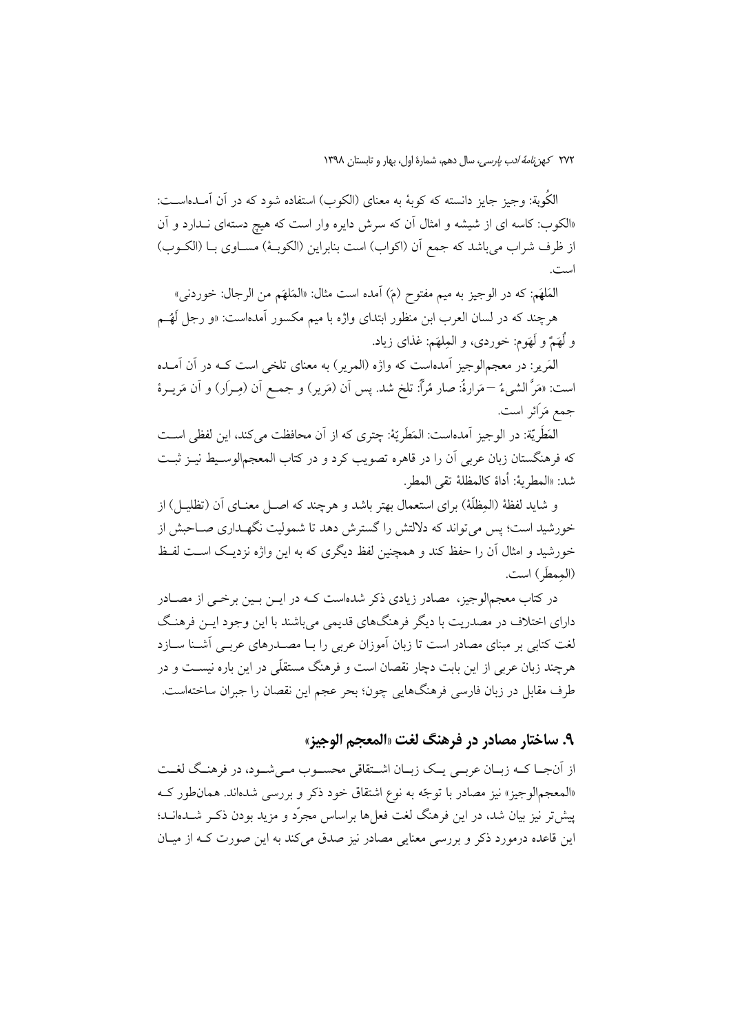الكُوبة: وجيز جايز دانسته كه كوبهٔ به معناي (الكوب) استفاده شود كه در آن آمـدهاســت: «الکوب: کاسه ای از شیشه و امثال آن که سرش دایره وار است که هیچ دستهای نــدارد و آن از ظرف شراب مي باشد كه جمع أن (اكواب) است بنابراين (الكوبـهٔ) مسـاوي بـا (الكــوب) است.

الْمَلْهَم: كه در الوجيز به ميم مفتوح (مَ) أمده است مثال: «المَلهَم من الرجال: خوردنبي» هرچند که در لسان العرب ابن منظور ابتدای واژه با میم مکسور آمدهاست: «و رجل لَهُــم و لُهَمٌ و لَهَوم: خوردي، و المِلهَم: غذاي زياد.

المَرير: در معجمالوجيز آمدهاست كه واژه (المرير) به معناي تلخي است كــه در آن آمــده است: «مَرَّ الشيءُ —مَرارةُ: صار مُرأٌ: تلخ شد. پس أن (مَرير) و جمـع أن (مِــرَار) و أن مَريــرة جمع مَرَائر است.

الْمَطَرِيَّة: در الوجيز آمدهاست: المَطَرِيّة: چترى كه از آن محافظت مى كند، اين لفظى اسـت كه فرهنگستان زبان عربي آن را در قاهره تصويب كرد و در كتاب المعجم|لوسـيط نيــز ثبــت شد: «المطريةُ: أداة كالمظلةُ تقى المطرِ.

و شاید لفظهٔ (المظلَّهٔ) برای استعمال بهتر باشد و هرچند که اصــل معنــای آن (تظلیــل) از خورشید است؛ پس می تواند که دلالتش را گسترش دهد تا شمولیت نگهـداری صـاحبش از خورشید و امثال آن را حفظ کند و همچنین لفظ دیگری که به این واژه نزدیـک اسـت لفـظ (الممطَّر ) است.

در کتاب معجم|لوجیز، مصادر زیادی ذکر شده|ست کـه در ایــن بــین برخــی از مصــادر دارای اختلاف در مصدریت با دیگر فرهنگهای قدیمی می باشند با این وجود ایــن فرهنـگ لغت کتابی بر مبنای مصادر است تا زبان آموزان عربی را بـا مصــدرهای عربـی آشــنا ســازد هرچند زبان عربی از این بابت دچار نقصان است و فرهنگ مستقلّی در این باره نیسـت و در طرف مقابل در زبان فارسی فرهنگهایی چون؛ بحر عجم این نقصان را جبران ساختهاست.

۹. ساختار مصادر در فرهنگ لغت «المعجم الوجيز»

از اّنجــا كــه زبــان عربــي يــك زبــان اشــتقاقى محســوب مــي شــود، در فرهنــگ لغــت «المعجم|لوجیز» نیز مصادر با توجّه به نوع اشتقاق خود ذکر و بررسی شدهاند. همان طور ک پیش تر نیز بیان شد، در این فرهنگ لغت فعلها براساس مجرّد و مزید بودن ذکـر شــدهانــد؛ این قاعده درمورد ذکر و بررسی معنایی مصادر نیز صدق می کند به این صورت کـه از میــان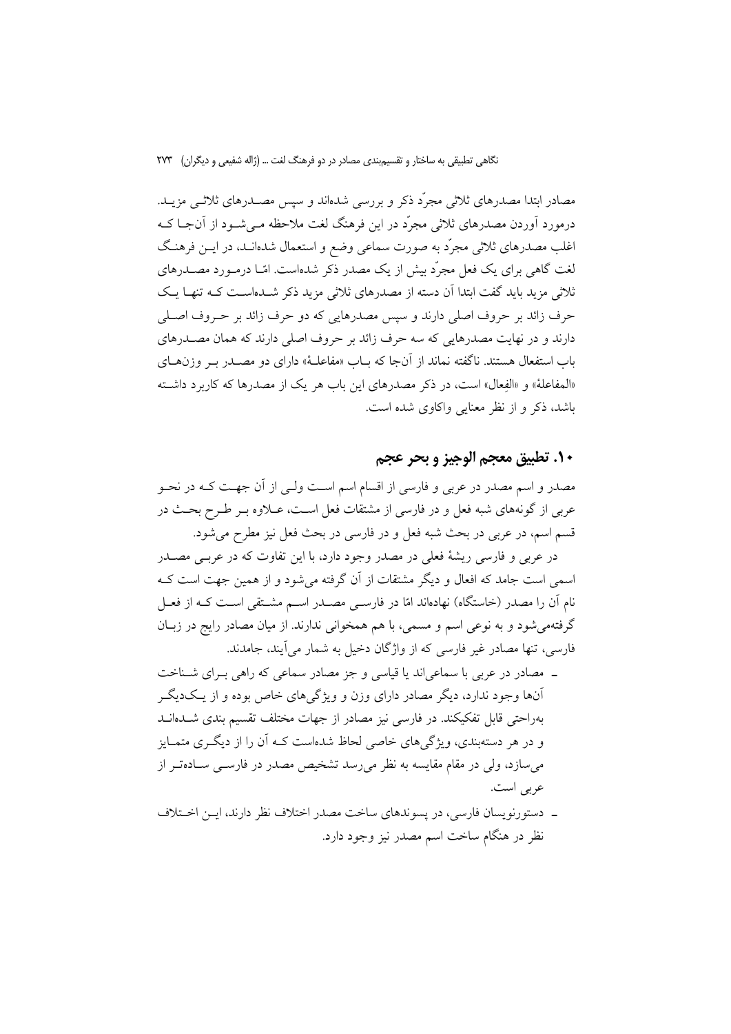مصادر ابتدا مصدرهای ثلاثی مجرّد ذکر و بررسی شدهاند و سپس مصــدرهای ثلاثــی مزیــد. درمورد اَوردن مصدرهای ثلاثی مجرّد در این فرهنگ لغت ملاحظه مـیشـود از اَنجـا کـه اغلب مصدرهای ثلاثی مجرّد به صورت سماعی وضع و استعمال شدهانـد، در ایــن فرهنـگ لغت گاهی برای یک فعل مجرّد بیش از یک مصدر ذکر شدهاست. امّـا درمـورد مصــدرهای ثلاثی مزید باید گفت ابتدا اَن دسته از مصدرهای ثلاثی مزید ذکر شــدهاســت کــه تنهــا یــک حرف زائد بر حروف اصلي دارند و سپس مصدرهايي كه دو حرف زائد بر حـروف اصـلي دارند و در نهایت مصدرهایی که سه حرف زائد بر حروف اصلی دارند که همان مصـدرهای باب استفعال هستند. ناگفته نماند از آنجا که بــاب «مفاعلــهٔ» دارای دو مصــدر بــر وزن۱هــای «المفاعلة» و «الفعال» است، در ذكر مصدرهاي اين باب هر يك از مصدرها كه كاربرد داشته باشد، ذکر و از نظر معنایی واکاوی شده است.

١٠. تطبيق معجم الوجيز و بحر عجم

مصدر و اسم مصدر در عربی و فارسی از اقسام اسم است ولـی از آن جهـت کـه در نحــو عربی از گونههای شبه فعل و در فارسی از مشتقات فعل اسـت، عــلاوه بــر طــرح بحــث در قسم اسم، در عربي در بحث شبه فعل و در فارسي در بحث فعل نيز مطرح مي شود.

در عربی و فارسی ریشهٔ فعلی در مصدر وجود دارد، با این تفاوت که در عربـی مصــدر اسمی است جامد که افعال و دیگر مشتقات از آن گرفته میشود و از همین جهت است ک نام آن را مصدر (خاستگاه) نهادهاند امّا در فارسـی مصــدر اســم مشــتقی اسـت کــه از فعــل گرفتهمی شود و به نوعی اسم و مسمی، با هم همخوانی ندارند. از میان مصادر رایج در زبـان فارسی، تنها مصادر غیر فارسی که از واژگان دخیل به شمار می[یند، جامدند.

- ـ مصادر در عربی با سماعیاند یا قیاسی و جز مصادر سماعی که راهی بـرای شـناخت آنها وجود ندارد، دیگر مصادر دارای وزن و ویژگیهای خاص بوده و از یکدیگر بهراحتی قابل تفکیکند. در فارسی نیز مصادر از جهات مختلف تقسیم بندی شـدهانــد و در هر دستهبندی، ویژگیهای خاصی لحاظ شدهاست کـه آن را از دیگـری متمـایز می سازد، ولی در مقام مقایسه به نظر می رسد تشخیص مصدر در فارســی ســادهتــر از عربي است.
- ــ دستورنويسان فارسي، در يسوندهاي ساخت مصدر اختلاف نظر دارند، ايــن اخـتلاف نظر در هنگام ساخت اسم مصدر نیز وجود دارد.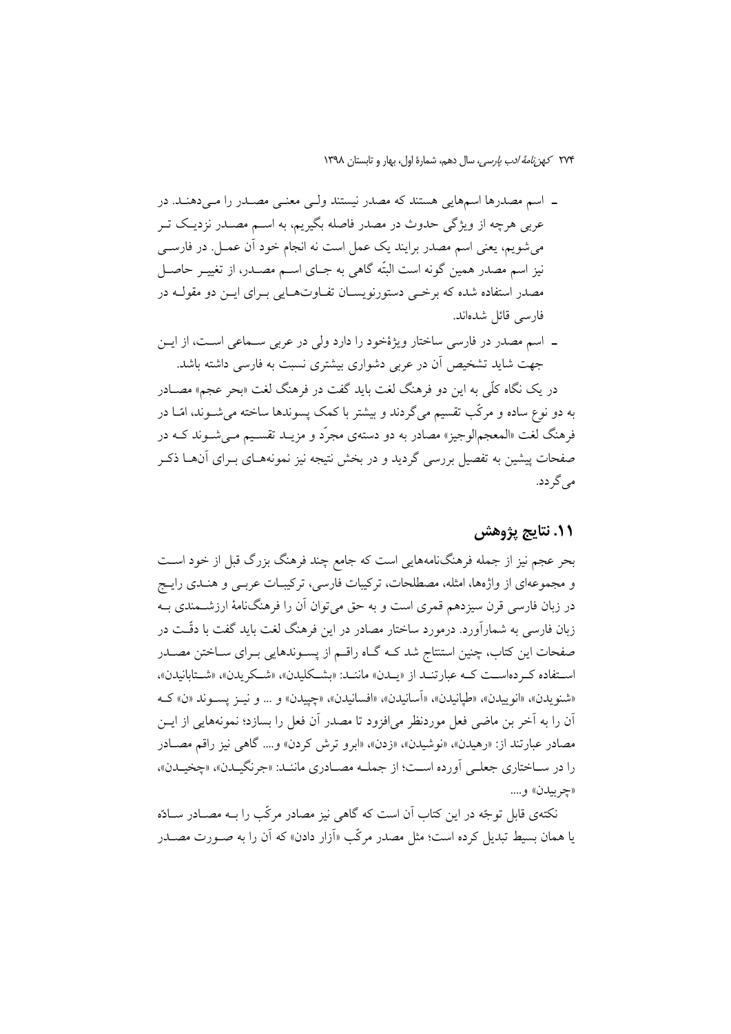- ــ اسم مصدرها اسمهايي هستند كه مصدر نيستند ولــي معنــي مصــدر را مــي دهنــد. در عربی هرچه از ویژگی حدوث در مصدر فاصله بگیریم، به اســم مصــدر نزدیــک تــر میشویم، یعنی اسم مصدر برایند یک عمل است نه انجام خود أن عمــل. در فارســی نیز اسم مصدر همین گونه است البتّه گاهی به جـای اســم مصــدر، از تغییــر حاصــل مصدر استفاده شده که برخمی دستورنویسـان تفـاوتهـایی بـرای ایــن دو مقولــه در فارسی قائل شدهاند.
- ـ اسم مصدر در فارسی ساختار ویژهٔخود را دارد ولی در عربی سـماعی اسـت، از ایــن جهت شاید تشخیص آن در عربی دشواری بیشتری نسبت به فارسی داشته باشد. در یک نگاه کلّی به این دو فرهنگ لغت باید گفت در فرهنگ لغت «بحر عجم» مصــادر به دو نوع ساده و مرکّب تقسیم میگردند و بیشتر با کمک پسوندها ساخته می شــوند، امّــا در فرهنگ لغت «المعجم|لوجیز» مصادر به دو دستهی مجرّد و مزیــد تقســیم مــی شــوند کــه در صفحات پیشین به تفصیل بررسی گردید و در بخش نتیجه نیز نمونههـای بــرای آنهــا ذکــر مے گے دد.

## 11. نتايج پژوهش

بحر عجم نیز از جمله فرهنگنامههایی است که جامع چند فرهنگ بزرگ قبل از خود اسـت و مجموعهای از واژهها، امثله، مصطلحات، ترکیبات فارسی، ترکیبـات عربــی و هنــدی رایــج در زبان فارسی قرن سیزدهم قمری است و به حق می توان آن را فرهنگنامهٔ ارزشــمندی بــه زبان فارسی به شمارآورد. درمورد ساختار مصادر در این فرهنگ لغت باید گفت با دقّـت در صفحات این کتاب، چنین استنتاج شد کـه گـاه راقــم از پســوندهایی بــرای ســاختن مصــدر استفاده كـردهاسـت كـه عبارتنـد از «يـدن» ماننـد: «بشـكليدن»، «شـكريدن»، «شـتابانيدن»، «شنويدن»، «انوييدن»، «طيانيدن»، «اَسانيدن»، «افسانيدن»، «چييدن» و ... و نيـز يسـوند «ن» كـه آن را به آخر بن ماضی فعل موردنظر می|فزود تا مصدر آن فعل را بسازد؛ نمونههایی از ایــن مصادر عبارتند از: «رهيدن»، «نوشيدن»، «زدن»، «ابرو ترش كردن» و.... گاهي نيز راقم مصـادر را در سـاختاري جعلـي أورده اسـت؛ از جملــه مصــادري ماننــد: «جرنگيــدن»، «چخيــدن»، «چربيدن» و…

نکتهی قابل توجّه در این کتاب آن است که گاهی نیز مصادر مرکّب را بـه مصـادر سـادّه یا همان بسیط تبدیل کرده است؛ مثل مصدر مرکّب «اَزار دادن» که اَن را به صـورت مصـدر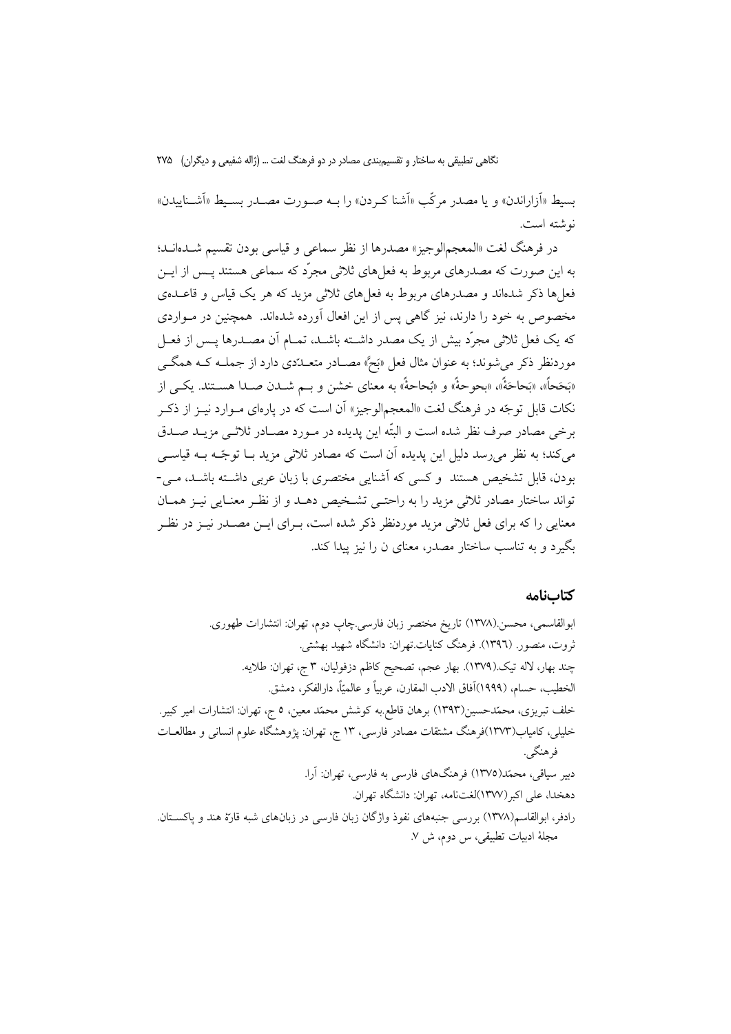بسيط «أزاراندن» و يا مصدر مركّب «أشنا كـردن» را بــه صــورت مصــدر بســيط «أشــناييدن» نه شته است.

در فرهنگ لغت «المعجمالوجيز» مصدرها از نظر سماعي و قياسي بودن تقسيم شــدهانــد؛ به این صورت که مصدرهای مربوط به فعلهای ثلاثی مجرّد که سماعی هستند پـس از ایــن فعلها ذکر شدهاند و مصدرهای مربوط به فعلهای ثلاثی مزید که هر یک قیاس و قاعــدهی مخصوص به خود را دارند، نیز گاهی پس از این افعال آورده شدهاند. همچنین در مـواردی که یک فعل ثلاثی مجرّد بیش از یک مصدر داشــته باشــد، تمــام آن مصــدرها یــس از فعــل موردنظر ذکر می شوند؛ به عنوان مثال فعل «بَحَّ» مصـادر متعــدّدی دارد از جملــه کــه همگــی «بَحَحاً»، «بَحاحَهٌٔ»، «بحوحهٌٔ» و «بُحاحهٌٔ» به معنای خشن و بــم شــدن صــدا هســتند. یکــی از نکات قابل توجّه در فرهنگ لغت «المعجم|لوجیز» اَن است که در پارهای مـوارد نیــز از ذکــر برخی مصادر صرف نظر شده است و البتّه این پدیده در مـورد مصـادر ثلاثـی مزیــد صــدق می کند؛ به نظر می رسد دلیل این پدیده آن است که مصادر ثلاثی مزید بــا توجّــه بــه قیاســـی بودن، قابل تشخیص هستند ًو کسی که آشنایی مختصری با زبان عربی داشته باشـد، مـی-تواند ساختار مصادر ثلاثي مزيد را به راحتـي تشـخيص دهـد و از نظـر معنـايي نيـز همـان معنایی را که برای فعل ثلاثی مزید موردنظر ذکر شده است، بـرای ایــن مصــدر نیــز در نظــر یگیرد و به تناسب ساختار مصدر، معنای ن را نیز بیدا کند.

#### كتابنامه

ابوالقاسمي، محسن.(١٣٧٨) تاريخ مختصر زبان فارسي.چاپ دوم، تهران: انتشارات طهوري. ثروت، منصور. (١٣٩٦). فرهنگ كنايات تهران: دانشگاه شهيد بهشتي. چند بهار، لاله تيک (١٣٧٩). بهار عجم، تصحيح كاظم دزفوليان، ٣ ج، تهران: طلايه. الخطيب، حسام، (١٩٩٩)أفاق الادب المقارن، عربياً و عالميّاً، دارالفكر، دمشق. خلف تبریزی، محمّدحسین(۱۳۹۳) برهان قاطع به کوشش محمّد معین، ٥ ج، تهران: انتشارات امیر کبیر. خلیلی، کامیاب(۱۳۷۳)فرهنگ مشتقات مصادر فارسی، ۱۳ ج، تهران: یژوهشگاه علوم انسانی و مطالعــات فرهنگي. دبیر سیاقی، محمّد(١٣٧٥) فرهنگهای فارسی به فارسی، تهران: آرا. دهخدا، على اكبر (١٣٧٧)لغتنامه، تهران: دانشگاه تهران. رادفر، ابوالقاسم(۱۳۷۸) بررسی جنبههای نفوذ واژگان زبان فارسی در زبانهای شبه قارّهٔ هند و پاکســتان. مجلهٔ ادبیات تطبیقی، س دوم، ش ۷.